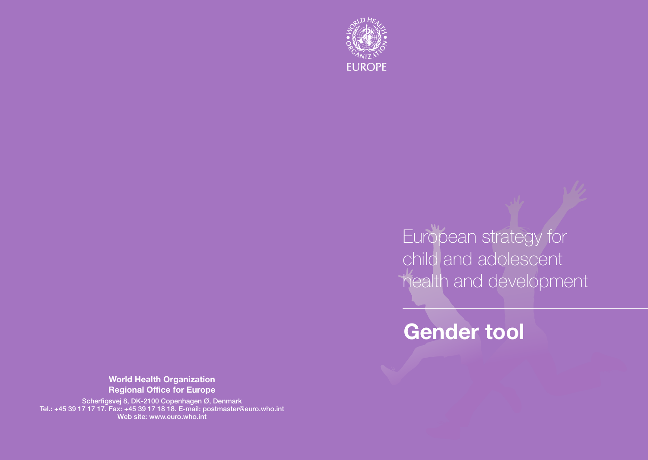

European strategy for child and adolescent health and development

# **Gender tool**

**World Health Organization Regional Office for Europe**

Scherfigsvej 8, DK-2100 Copenhagen Ø, Denmark Tel.: +45 39 17 17 17. Fax: +45 39 17 18 18. E-mail: postmaster@euro.who.int Web site: www.euro.who.int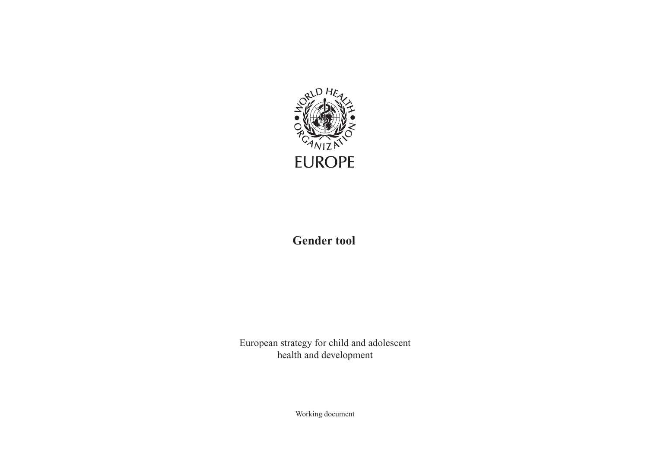

**Gender tool**

European strategy for child and adolescent health and development

Working document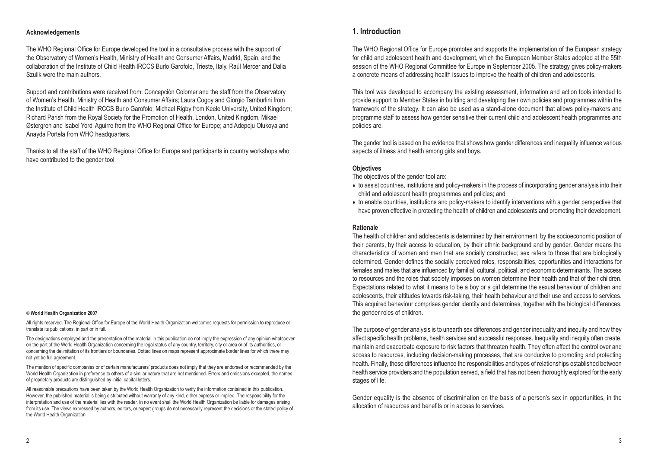#### **Acknowledgements**

The WHO Regional Office for Europe developed the tool in a consultative process with the support of the Observatory of Women's Health, Ministry of Health and Consumer Affairs, Madrid, Spain, and the collaboration of the Institute of Child Health IRCCS Burlo Garofolo, Trieste, Italy. Raúl Mercer and Dalia Szulik were the main authors.

Support and contributions were received from: Concepción Colomer and the staff from the Observatory of Women's Health, Ministry of Health and Consumer Affairs; Laura Cogoy and Giorgio Tamburlini from the Institute of Child Health IRCCS Burlo Garofolo; Michael Rigby from Keele University, United Kingdom; Richard Parish from the Royal Society for the Promotion of Health, London, United Kingdom, Mikael Østergren and Isabel Yordi Aguirre from the WHO Regional Office for Europe; and Adepeju Olukoya and Anayda Portela from WHO headquarters.

Thanks to all the staff of the WHO Regional Office for Europe and participants in country workshops who have contributed to the gender tool.

#### © **World Health Organization 2007**

All rights reserved. The Regional Office for Europe of the World Health Organization welcomes requests for permission to reproduce or translate its publications, in part or in full.

The designations employed and the presentation of the material in this publication do not imply the expression of any opinion whatsoever on the part of the World Health Organization concerning the legal status of any country, territory, city or area or of its authorities, or concerning the delimitation of its frontiers or boundaries. Dotted lines on maps represent approximate border lines for which there may not yet be full agreement.

The mention of specific companies or of certain manufacturers' products does not imply that they are endorsed or recommended by the World Health Organization in preference to others of a similar nature that are not mentioned. Errors and omissions excepted, the names of proprietary products are distinguished by initial capital letters.

All reasonable precautions have been taken by the World Health Organization to verify the information contained in this publication. However, the published material is being distributed without warranty of any kind, either express or implied. The responsibility for the interpretation and use of the material lies with the reader. In no event shall the World Health Organization be liable for damages arising from its use. The views expressed by authors, editors, or expert groups do not necessarily represent the decisions or the stated policy of the World Health Organization.

## **1. Introduction**

The WHO Regional Office for Europe promotes and supports the implementation of the European strategy for child and adolescent health and development, which the European Member States adopted at the 55th session of the WHO Regional Committee for Europe in September 2005. The strategy gives policy-makers a concrete means of addressing health issues to improve the health of children and adolescents.

This tool was developed to accompany the existing assessment, information and action tools intended to provide support to Member States in building and developing their own policies and programmes within the framework of the strategy. It can also be used as a stand-alone document that allows policy-makers and programme staff to assess how gender sensitive their current child and adolescent health programmes and policies are.

The gender tool is based on the evidence that shows how gender differences and inequality influence various aspects of illness and health among girls and boys.

#### **Objectives**

The objectives of the gender tool are:

- to assist countries, institutions and policy-makers in the process of incorporating gender analysis into their child and adolescent health programmes and policies; and
- to enable countries, institutions and policy-makers to identify interventions with a gender perspective that have proven effective in protecting the health of children and adolescents and promoting their development.

#### **Rationale**

The health of children and adolescents is determined by their environment, by the socioeconomic position of their parents, by their access to education, by their ethnic background and by gender. Gender means the characteristics of women and men that are socially constructed; sex refers to those that are biologically determined. Gender defines the socially perceived roles, responsibilities, opportunities and interactions for females and males that are influenced by familial, cultural, political, and economic determinants. The access to resources and the roles that society imposes on women determine their health and that of their children. Expectations related to what it means to be a boy or a girl determine the sexual behaviour of children and adolescents, their attitudes towards risk-taking, their health behaviour and their use and access to services. This acquired behaviour comprises gender identity and determines, together with the biological differences, the gender roles of children.

The purpose of gender analysis is to unearth sex differences and gender inequality and inequity and how they affect specific health problems, health services and successful responses. Inequality and inequity often create, maintain and exacerbate exposure to risk factors that threaten health. They often affect the control over and access to resources, including decision-making processes, that are conducive to promoting and protecting health. Finally, these differences influence the responsibilities and types of relationships established between health service providers and the population served, a field that has not been thoroughly explored for the early stages of life.

Gender equality is the absence of discrimination on the basis of a person's sex in opportunities, in the allocation of resources and benefits or in access to services.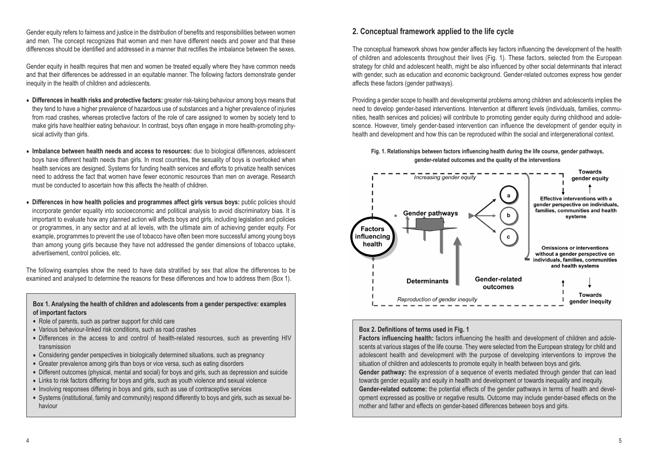Gender equity refers to fairness and justice in the distribution of benefits and responsibilities between women and men. The concept recognizes that women and men have different needs and power and that these differences should be identified and addressed in a manner that rectifies the imbalance between the sexes.

Gender equity in health requires that men and women be treated equally where they have common needs and that their differences be addressed in an equitable manner. The following factors demonstrate gender inequity in the health of children and adolescents.

- **Differences in health risks and protective factors:** greater risk-taking behaviour among boys means that they tend to have a higher prevalence of hazardous use of substances and a higher prevalence of injuries from road crashes, whereas protective factors of the role of care assigned to women by society tend to make girls have healthier eating behaviour. In contrast, boys often engage in more health-promoting physical activity than girls.
- **Imbalance between health needs and access to resources:** due to biological differences, adolescent boys have different health needs than girls. In most countries, the sexuality of boys is overlooked when health services are designed. Systems for funding health services and efforts to privatize health services need to address the fact that women have fewer economic resources than men on average. Research must be conducted to ascertain how this affects the health of children.
- **Differences in how health policies and programmes affect girls versus boys:** public policies should incorporate gender equality into socioeconomic and political analysis to avoid discriminatory bias. It is important to evaluate how any planned action will affects boys and girls, including legislation and policies or programmes, in any sector and at all levels, with the ultimate aim of achieving gender equity. For example, programmes to prevent the use of tobacco have often been more successful among young boys than among young girls because they have not addressed the gender dimensions of tobacco uptake, advertisement, control policies, etc.

The following examples show the need to have data stratified by sex that allow the differences to be examined and analysed to determine the reasons for these differences and how to address them (Box 1).

**Box 1. Analysing the health of children and adolescents from a gender perspective: examples of important factors**

- Role of parents, such as partner support for child care
- Various behaviour-linked risk conditions, such as road crashes
- Differences in the access to and control of health-related resources, such as preventing HIV transmission
- Considering gender perspectives in biologically determined situations, such as pregnancy
- Greater prevalence among girls than boys or vice versa, such as eating disorders
- Different outcomes (physical, mental and social) for boys and girls, such as depression and suicide
- Links to risk factors differing for boys and girls, such as youth violence and sexual violence
- Involving responses differing in boys and girls, such as use of contraceptive services
- Systems (institutional, family and community) respond differently to boys and girls, such as sexual behaviour

## **2. Conceptual framework applied to the life cycle**

The conceptual framework shows how gender affects key factors influencing the development of the health of children and adolescents throughout their lives (Fig. 1). These factors, selected from the European strategy for child and adolescent health, might be also influenced by other social determinants that interact with gender, such as education and economic background. Gender-related outcomes express how gender affects these factors (gender pathways).

Providing a gender scope to health and developmental problems among children and adolescents implies the need to develop gender-based interventions. Intervention at different levels (individuals, families, communities, health services and policies) will contribute to promoting gender equity during childhood and adolescence. However, timely gender-based intervention can influence the development of gender equity in health and development and how this can be reproduced within the social and intergenerational context.

**Fig. 1. Relationships between factors influencing health during the life course, gender pathways, gender-related outcomes and the quality of the interventions**



## **Box 2. Definitions of terms used in Fig. 1**

**Factors influencing health:** factors influencing the health and development of children and adolescents at various stages of the life course. They were selected from the European strategy for child and adolescent health and development with the purpose of developing interventions to improve the situation of children and adolescents to promote equity in health between boys and girls.

**Gender pathway:** the expression of a sequence of events mediated through gender that can lead towards gender equality and equity in health and development or towards inequality and inequity. **Gender-related outcome:** the potential effects of the gender pathways in terms of health and development expressed as positive or negative results. Outcome may include gender-based effects on the mother and father and effects on gender-based differences between boys and girls.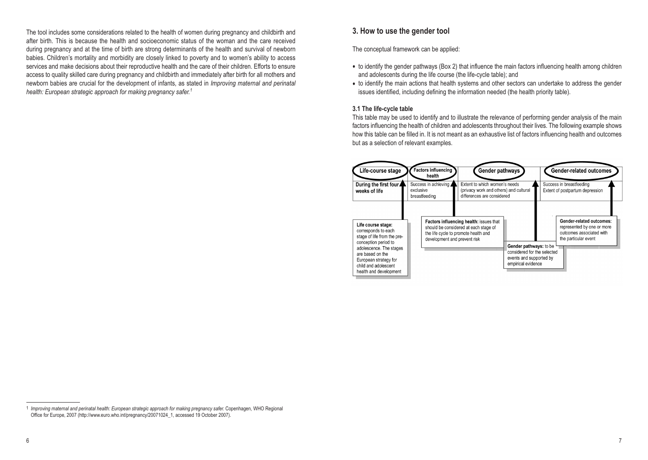The tool includes some considerations related to the health of women during pregnancy and childbirth and after birth. This is because the health and socioeconomic status of the woman and the care received during pregnancy and at the time of birth are strong determinants of the health and survival of newborn babies. Children's mortality and morbidity are closely linked to poverty and to women's ability to access services and make decisions about their reproductive health and the care of their children. Efforts to ensure access to quality skilled care during pregnancy and childbirth and immediately after birth for all mothers and newborn babies are crucial for the development of infants, as stated in *Improving maternal and perinatal health: European strategic approach for making pregnancy safer.1*

## **3. How to use the gender tool**

The conceptual framework can be applied:

- to identify the gender pathways (Box 2) that influence the main factors influencing health among children and adolescents during the life course (the life-cycle table); and
- to identify the main actions that health systems and other sectors can undertake to address the gender issues identified, including defining the information needed (the health priority table).

## **3.1 The life-cycle table**

This table may be used to identify and to illustrate the relevance of performing gender analysis of the main factors influencing the health of children and adolescents throughout their lives. The following example shows how this table can be filled in. It is not meant as an exhaustive list of factors influencing health and outcomes but as a selection of relevant examples.



<sup>1</sup> *Improving maternal and perinatal health: European strategic approach for making pregnancy safer.* Copenhagen, WHO Regional Office for Europe, 2007 (http://www.euro.who.int/pregnancy/20071024\_1, accessed 19 October 2007).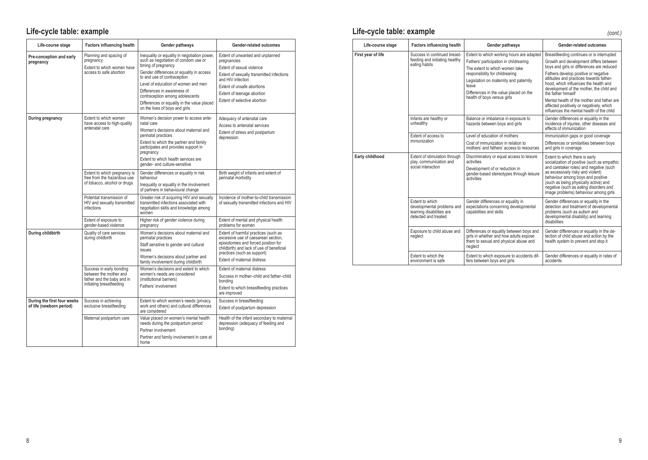## **Life-cycle table: example Life-cycle table: example**

| Life-course stage                                       | <b>Factors influencing health</b>                                                                            | Gender pathways                                                                                                                                                                                                                                                                            | Gender-related outcomes                                                                                                                                                                                                        |
|---------------------------------------------------------|--------------------------------------------------------------------------------------------------------------|--------------------------------------------------------------------------------------------------------------------------------------------------------------------------------------------------------------------------------------------------------------------------------------------|--------------------------------------------------------------------------------------------------------------------------------------------------------------------------------------------------------------------------------|
| Pre-conception and early<br>pregnancy                   | Planning and spacing of<br>pregnancy<br>Extent to which women have<br>access to safe abortion                | Inequality or equality in negotiation power,<br>such as negotiation of condom use or<br>timing of pregnancy<br>Gender differences or equality in access<br>to and use of contraception<br>Level of education of women and men                                                              | Extent of unwanted and unplanned<br>pregnancies<br>Extent of sexual violence<br>Extent of sexually transmitted infections<br>and HIV infection<br>Extent of unsafe abortions                                                   |
|                                                         |                                                                                                              | Differences in awareness of<br>contraception among adolescents<br>Differences or equality in the value placed<br>on the lives of boys and girls                                                                                                                                            | Extent of teenage abortion<br>Extent of selective abortion                                                                                                                                                                     |
| During pregnancy                                        | Extent to which women<br>have access to high-quality<br>antenatal care                                       | Women's decision power to access ante-<br>natal care<br>Women's decisions about maternal and<br>perinatal practices<br>Extent to which the partner and family<br>participates and provides support in<br>pregnancy<br>Extent to which health services are<br>gender- and culture-sensitive | Adequacy of antenatal care<br>Access to antenatal services<br>Extent of stress and postpartum<br>depression                                                                                                                    |
|                                                         | Extent to which pregnancy is<br>free from the hazardous use<br>of tobacco, alcohol or drugs                  | Gender differences or equality in risk<br>behaviour<br>Inequality or equality in the involvement<br>of partners in behavioural change                                                                                                                                                      | Birth weight of infants and extent of<br>perinatal morbidity                                                                                                                                                                   |
|                                                         | Potential transmission of<br>HIV and sexually transmitted<br>infections                                      | Greater risk of acquiring HIV and sexually<br>transmitted infections associated with<br>negotiation skills and knowledge among<br>women                                                                                                                                                    | Incidence of mother-to-child transmission<br>of sexually transmitted infections and HIV                                                                                                                                        |
|                                                         | Extent of exposure to<br>gender-based violence                                                               | Higher risk of gender violence during<br>pregnancy                                                                                                                                                                                                                                         | Extent of mental and physical health<br>problems for women                                                                                                                                                                     |
| During childbirth                                       | Quality of care services<br>during childbirth                                                                | Women's decisions about maternal and<br>perinatal practices<br>Staff sensitive to gender and cultural<br>issues<br>Women's decisions about partner and<br>family involvement during childbirth                                                                                             | Extent of harmful practices (such as<br>excessive use of caesarean section.<br>episiotomies and forced position for<br>childbirth) and lack of use of beneficial<br>practices (such as support)<br>Extent of maternal distress |
|                                                         | Success in early bonding<br>between the mother and<br>father and the baby and in<br>initiating breastfeeding | Women's decisions and extent to which<br>women's needs are considered<br>(institutional barriers)<br>Fathers' involvement                                                                                                                                                                  | Extent of maternal distress<br>Success in mother-child and father-child<br>bonding<br>Extent to which breastfeeding practices<br>are improved                                                                                  |
| During the first four weeks<br>of life (newborn period) | Success in achieving<br>exclusive breastfeeding                                                              | Extent to which women's needs (privacy,<br>work and others) and cultural differences<br>are considered                                                                                                                                                                                     | Success in breastfeeding<br>Extent of postpartum depression                                                                                                                                                                    |
|                                                         | Maternal postpartum care                                                                                     | Value placed on women's mental health<br>needs during the postpartum period<br>Partner involvement<br>Partner and family involvement in care at<br>home                                                                                                                                    | Health of the infant secondary to maternal<br>depression (adequacy of feeding and<br>bonding)                                                                                                                                  |

| Life-course stage  | <b>Factors influencing health</b>                                                                  | Gender pathways                                                                                                                                                                                                                                                                      | Gender-related outcomes                                                                                                                                                                                                                                                                                                                                                                                                                                               |  |
|--------------------|----------------------------------------------------------------------------------------------------|--------------------------------------------------------------------------------------------------------------------------------------------------------------------------------------------------------------------------------------------------------------------------------------|-----------------------------------------------------------------------------------------------------------------------------------------------------------------------------------------------------------------------------------------------------------------------------------------------------------------------------------------------------------------------------------------------------------------------------------------------------------------------|--|
| First year of life | Success in continued breast-<br>feeding and initiating healthy<br>eating habits                    | Extent to which working hours are adapted<br>Fathers' participation in childrearing<br>The extent to which women take<br>responsibility for childrearing<br>Legislation on maternity and paternity<br>leave<br>Differences in the value placed on the<br>health of boys versus girls | Breastfeeding continues or is interrupted<br>Growth and development differs between<br>boys and girls or differences are reduced<br>Fathers develop positive or negative<br>attitudes and practices towards father-<br>hood, which influences the health and<br>development of the mother, the child and<br>the father himself<br>Mental health of the mother and father are<br>affected positively or negatively, which<br>influences the mental health of the child |  |
|                    | Infants are healthy or<br>unhealthy                                                                | Balance or imbalance in exposure to<br>hazards between boys and girls                                                                                                                                                                                                                | Gender differences or equality in the<br>incidence of injuries, other diseases and<br>effects of immunization                                                                                                                                                                                                                                                                                                                                                         |  |
|                    | Extent of access to<br>immunization                                                                | Level of education of mothers<br>Cost of immunization in relation to<br>mothers' and fathers' access to resources                                                                                                                                                                    | Immunization gaps or good coverage<br>Differences or similarities between boys<br>and girls in coverage                                                                                                                                                                                                                                                                                                                                                               |  |
| Early childhood    | Extent of stimulation through<br>play, communication and<br>social interaction                     | Discriminatory or equal access to leisure<br>activities<br>Development of or reduction in<br>gender-based stereotypes through leisure<br>activities                                                                                                                                  | Extent to which there is early<br>socialization of positive (such as empathic<br>and caretaker roles) and negative (such<br>as excessively risky and violent)<br>behaviour among boys and positive<br>(such as being physically active) and<br>negative (such as eating disorders and<br>image problems) behaviour among girls                                                                                                                                        |  |
|                    | Extent to which<br>developmental problems and<br>learning disabilities are<br>detected and treated | Gender differences or equality in<br>expectations concerning developmental<br>capabilities and skills                                                                                                                                                                                | Gender differences or equality in the<br>detection and treatment of developmental<br>problems (such as autism and<br>developmental disability) and learning<br>disabilities                                                                                                                                                                                                                                                                                           |  |
|                    | Exposure to child abuse and<br>neglect                                                             | Differences or equality between boys and<br>girls in whether and how adults expose<br>them to sexual and physical abuse and<br>neglect                                                                                                                                               | Gender differences or equality in the de-<br>tection of child abuse and action by the<br>health system to prevent and stop it                                                                                                                                                                                                                                                                                                                                         |  |
|                    | Extent to which the<br>environment is safe                                                         | Extent to which exposure to accidents dif-<br>fers between boys and girls                                                                                                                                                                                                            | Gender differences or equality in rates of<br>accidents                                                                                                                                                                                                                                                                                                                                                                                                               |  |

## *(cont.)*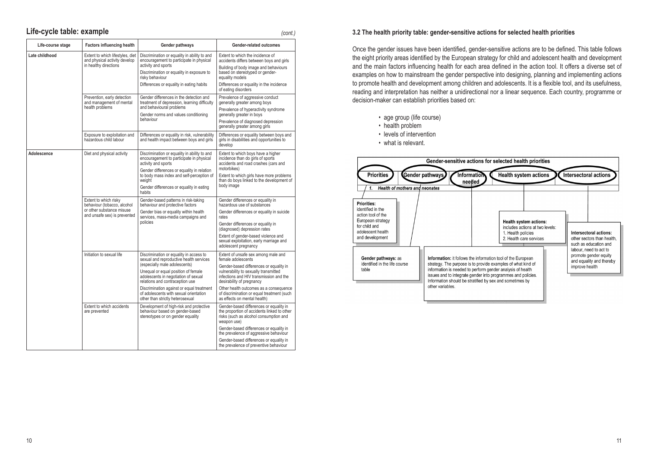## **Life-cycle table: example** *(cont.)*

| Life-course stage | <b>Factors influencing health</b>                                                                                 | Gender pathways                                                                                                                                                                 | Gender-related outcomes                                                                                                                                                     |  |
|-------------------|-------------------------------------------------------------------------------------------------------------------|---------------------------------------------------------------------------------------------------------------------------------------------------------------------------------|-----------------------------------------------------------------------------------------------------------------------------------------------------------------------------|--|
| Late childhood    | Extent to which lifestyles, diet<br>and physical activity develop<br>in healthy directions                        | Discrimination or equality in ability to and<br>encouragement to participate in physical<br>activity and sports<br>Discrimination or equality in exposure to<br>risky behaviour | Extent to which the incidence of<br>accidents differs between boys and girls<br>Building of body image and behaviours<br>based on stereotyped or gender-<br>equality models |  |
|                   |                                                                                                                   | Differences or equality in eating habits                                                                                                                                        | Differences or equality in the incidence<br>of eating disorders                                                                                                             |  |
|                   | Prevention, early detection<br>and management of mental<br>health problems                                        | Gender differences in the detection and<br>treatment of depression, learning difficulty<br>and behavioural problems                                                             | Prevalence of aggressive conduct<br>generally greater among boys                                                                                                            |  |
|                   |                                                                                                                   | Gender norms and values conditioning                                                                                                                                            | Prevalence of hyperactivity syndrome<br>generally greater in boys                                                                                                           |  |
|                   |                                                                                                                   | behaviour                                                                                                                                                                       | Prevalence of diagnosed depression<br>generally greater among girls                                                                                                         |  |
|                   | Exposure to exploitation and<br>hazardous child labour                                                            | Differences or equality in risk, vulnerability<br>and health impact between boys and girls                                                                                      | Differences or equality between boys and<br>girls in disabilities and opportunities to<br>develop                                                                           |  |
| Adolescence       | Diet and physical activity                                                                                        | Discrimination or equality in ability to and<br>encouragement to participate in physical<br>activity and sports                                                                 | Extent to which boys have a higher<br>incidence than do girls of sports<br>accidents and road crashes (cars and                                                             |  |
|                   |                                                                                                                   | Gender differences or equality in relation<br>to body mass index and self-perception of<br>weight                                                                               | motorbikes)<br>Extent to which girls have more problems<br>than do boys linked to the development of                                                                        |  |
|                   |                                                                                                                   | Gender differences or equality in eating<br>habits                                                                                                                              | body image                                                                                                                                                                  |  |
|                   | Extent to which risky<br>behaviour (tobacco, alcohol<br>or other substance misuse<br>and unsafe sex) is prevented | Gender-based patterns in risk-taking<br>behaviour and protective factors                                                                                                        | Gender differences or equality in<br>hazardous use of substances                                                                                                            |  |
|                   |                                                                                                                   | Gender bias or equality within health<br>services, mass-media campaigns and<br>policies                                                                                         | Gender differences or equality in suicide<br>rates                                                                                                                          |  |
|                   |                                                                                                                   |                                                                                                                                                                                 | Gender differences or equality in<br>(diagnosed) depression rates                                                                                                           |  |
|                   |                                                                                                                   |                                                                                                                                                                                 | Extent of gender-based violence and<br>sexual exploitation, early marriage and<br>adolescent pregnancy                                                                      |  |
|                   | Initiation to sexual life                                                                                         | Discrimination or equality in access to<br>sexual and reproductive health services                                                                                              | Extent of unsafe sex among male and<br>female adolescents                                                                                                                   |  |
|                   |                                                                                                                   | (especially male adolescents)<br>Unequal or equal position of female<br>adolescents in negotiation of sexual<br>relations and contraception use                                 | Gender-based differences or equality in<br>vulnerability to sexually transmitted<br>infections and HIV transmission and the<br>desirability of pregnancy                    |  |
|                   |                                                                                                                   | Discrimination against or equal treatment<br>of adolescents with sexual orientation<br>other than strictly heterosexual                                                         | Other health outcomes as a consequence<br>of discrimination or equal treatment (such<br>as effects on mental health)                                                        |  |
|                   | Extent to which accidents<br>are prevented                                                                        | Development of high-risk and protective<br>behaviour based on gender-based<br>stereotypes or on gender equality                                                                 | Gender-based differences or equality in<br>the proportion of accidents linked to other<br>risks (such as alcohol consumption and<br>weapon use)                             |  |
|                   |                                                                                                                   |                                                                                                                                                                                 | Gender-based differences or equality in<br>the prevalence of aggressive behaviour                                                                                           |  |
|                   |                                                                                                                   |                                                                                                                                                                                 | Gender-based differences or equality in<br>the prevalence of preventive behaviour                                                                                           |  |

#### **3.2 The health priority table: gender-sensitive actions for selected health priorities**

Once the gender issues have been identified, gender-sensitive actions are to be defined. This table follows the eight priority areas identified by the European strategy for child and adolescent health and development and the main factors influencing health for each area defined in the action tool. It offers a diverse set of examples on how to mainstream the gender perspective into designing, planning and implementing actions to promote health and development among children and adolescents. It is a flexible tool, and its usefulness, reading and interpretation has neither a unidirectional nor a linear sequence. Each country, programme or decision-maker can establish priorities based on:

- age group (life course)
- health problem
- levels of intervention

• what is relevant.

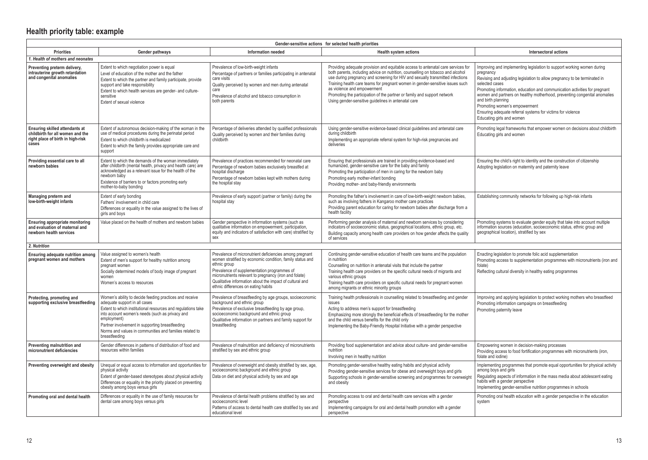| Gender-sensitive actions for selected health priorities                                                                 |                                                                                                                                                                                                                                                                                                                                                           |                                                                                                                                                                                                                                                                                                                                                  |                                                                                                                                                                                                                                                                                                                                                                                                                                                                                                          |                                                                                                                                                                                                                                                                                                                                                                                                                                                                                                  |  |
|-------------------------------------------------------------------------------------------------------------------------|-----------------------------------------------------------------------------------------------------------------------------------------------------------------------------------------------------------------------------------------------------------------------------------------------------------------------------------------------------------|--------------------------------------------------------------------------------------------------------------------------------------------------------------------------------------------------------------------------------------------------------------------------------------------------------------------------------------------------|----------------------------------------------------------------------------------------------------------------------------------------------------------------------------------------------------------------------------------------------------------------------------------------------------------------------------------------------------------------------------------------------------------------------------------------------------------------------------------------------------------|--------------------------------------------------------------------------------------------------------------------------------------------------------------------------------------------------------------------------------------------------------------------------------------------------------------------------------------------------------------------------------------------------------------------------------------------------------------------------------------------------|--|
| <b>Priorities</b>                                                                                                       | Gender pathways                                                                                                                                                                                                                                                                                                                                           | Information needed                                                                                                                                                                                                                                                                                                                               | <b>Health system actions</b>                                                                                                                                                                                                                                                                                                                                                                                                                                                                             | Intersectoral actions                                                                                                                                                                                                                                                                                                                                                                                                                                                                            |  |
| 1. Health of mothers and neonates                                                                                       |                                                                                                                                                                                                                                                                                                                                                           |                                                                                                                                                                                                                                                                                                                                                  |                                                                                                                                                                                                                                                                                                                                                                                                                                                                                                          |                                                                                                                                                                                                                                                                                                                                                                                                                                                                                                  |  |
| Preventing preterm delivery.<br>intrauterine growth retardation<br>and congenital anomalies                             | Extent to which negotiation power is equal<br>Level of education of the mother and the father<br>Extent to which the partner and family participate, provide<br>support and take responsibility<br>Extent to which health services are gender- and culture-<br>sensitive<br>Extent of sexual violence                                                     | Prevalence of low-birth-weight infants<br>Percentage of partners or families participating in antenatal<br>care visits<br>Quality perceived by women and men during antenatal<br>care<br>Prevalence of alcohol and tobacco consumption in<br>both parents                                                                                        | Providing adequate provision and equitable access to antenatal care services for<br>both parents, including advice on nutrition, counselling on tobacco and alcohol<br>use during pregnancy and screening for HIV and sexually transmitted infections<br>Training health care teams for pregnant women in gender-sensitive issues such<br>as violence and empowerment<br>Promoting the participation of the partner or family and support network<br>Using gender-sensitive guidelines in antenatal care | Improving and implementing legislation to support working women during<br>pregnancy<br>Revising and adjusting legislation to allow pregnancy to be terminated in<br>selected cases<br>Promoting information, education and communication activities for pregnant<br>women and partners on healthy motherhood, preventing congenital anomalies<br>and birth planning<br>Promoting women's empowerment<br>Ensuring adequate referral systems for victims for violence<br>Educating girls and women |  |
| <b>Ensuring skilled attendants at</b><br>childbirth for all women and the<br>right place of birth in high-risk<br>cases | Extent of autonomous decision-making of the woman in the<br>use of medical procedures during the perinatal period<br>Extent to which childbirth is medicalized<br>Extent to which the family provides appropriate care and<br>support                                                                                                                     | Percentage of deliveries attended by qualified professionals<br>Quality perceived by women and their families during<br>childbirth                                                                                                                                                                                                               | Using gender-sensitive evidence-based clinical guidelines and antenatal care<br>during childbirth<br>Implementing an appropriate referral system for high-risk pregnancies and<br>deliveries                                                                                                                                                                                                                                                                                                             | Promoting legal frameworks that empower women on decisions about childbirth<br>Educating girls and women                                                                                                                                                                                                                                                                                                                                                                                         |  |
| Providing essential care to all<br>newborn babies                                                                       | Extent to which the demands of the woman immediately<br>after childbirth (mental health, privacy and health care) are<br>acknowledged as a relevant issue for the health of the<br>newborn baby<br>Existence of barriers to or factors promoting early<br>mother-to-baby bonding                                                                          | Prevalence of practices recommended for neonatal care<br>Percentage of newborn babies exclusively breastfed at<br>hospital discharge<br>Percentage of newborn babies kept with mothers during<br>the hospital stay                                                                                                                               | Ensuring that professionals are trained in providing evidence-based and<br>humanized, gender-sensitive care for the baby and family<br>Promoting the participation of men in caring for the newborn baby<br>Promoting early mother-infant bonding<br>Providing mother- and baby-friendly environments                                                                                                                                                                                                    | Ensuring the child's right to identity and the construction of citizenship<br>Adopting legislation on maternity and paternity leave                                                                                                                                                                                                                                                                                                                                                              |  |
| Managing preterm and<br>low-birth-weight infants                                                                        | Extent of early bonding<br>Fathers' involvement in child care<br>Differences or equality in the value assigned to the lives of<br>girls and boys                                                                                                                                                                                                          | Prevalence of early support (partner or family) during the<br>hospital stay                                                                                                                                                                                                                                                                      | Promoting the father's involvement in care of low-birth-weight newborn babies,<br>such as involving fathers in Kangaroo mother care practices<br>Providing parent education for caring for newborn babies after discharge from a<br>health facility                                                                                                                                                                                                                                                      | Establishing community networks for following up high-risk infants                                                                                                                                                                                                                                                                                                                                                                                                                               |  |
| Ensuring appropriate monitoring<br>and evaluation of maternal and<br>newborn health services                            | Value placed on the health of mothers and newborn babies                                                                                                                                                                                                                                                                                                  | Gender perspective in information systems (such as<br>qualitative information on empowerment, participation,<br>equity and indicators of satisfaction with care) stratified by<br>sex                                                                                                                                                            | Performing gender analysis of maternal and newborn services by considering<br>indicators of socioeconomic status, geographical locations, ethnic group, etc.<br>Building capacity among health care providers on how gender affects the quality<br>of services                                                                                                                                                                                                                                           | Promoting systems to evaluate gender equity that take into account multiple<br>information sources (education, socioeconomic status, ethnic group and<br>geographical location), stratified by sex                                                                                                                                                                                                                                                                                               |  |
| 2. Nutrition                                                                                                            |                                                                                                                                                                                                                                                                                                                                                           |                                                                                                                                                                                                                                                                                                                                                  |                                                                                                                                                                                                                                                                                                                                                                                                                                                                                                          |                                                                                                                                                                                                                                                                                                                                                                                                                                                                                                  |  |
| Ensuring adequate nutrition among<br>pregnant women and mothers                                                         | Value assigned to women's health<br>Extent of men's support for healthy nutrition among<br>pregnant women<br>Socially determined models of body image of pregnant<br>women<br>Women's access to resources                                                                                                                                                 | Prevalence of micronutrient deficiencies among pregnant<br>women stratified by economic condition, family status and<br>ethnic group<br>Prevalence of supplementation programmes of<br>micronutrients relevant to pregnancy (iron and folate)<br>Qualitative information about the impact of cultural and<br>ethnic differences on eating habits | Continuing gender-sensitive education of health care teams and the population<br>in nutrition<br>Counselling on nutrition in antenatal visits that include the partner<br>Training health care providers on the specific cultural needs of migrants and<br>various ethnic groups<br>Training health care providers on specific cultural needs for pregnant women<br>among migrants or ethnic minority groups                                                                                             | Enacting legislation to promote folic acid supplementation<br>Promoting access to supplementation programmes with micronutrients (iron and<br>folate)<br>Reflecting cultural diversity in healthy eating programmes                                                                                                                                                                                                                                                                              |  |
| Protecting, promoting and<br>supporting exclusive breastfeeding                                                         | Women's ability to decide feeding practices and receive<br>adequate support in all cases<br>Extent to which institutional resources and regulations take<br>into account women's needs (such as privacy and<br>employment)<br>Partner involvement in supporting breastfeeding<br>Norms and values in communities and families related to<br>breastfeeding | Prevalence of breastfeeding by age groups, socioeconomic<br>background and ethnic group<br>Prevalence of exclusive breastfeeding by age group,<br>socioeconomic background and ethnic group<br>Qualitative information on partners and family support for<br>breastfeeding                                                                       | Training health professionals in counselling related to breastfeeding and gender<br>issues<br>Acting to address men's support for breastfeeding<br>Emphasizing more strongly the beneficial effects of breastfeeding for the mother<br>and the child versus benefits for the child only<br>Implementing the Baby-Friendly Hospital Initiative with a gender perspective                                                                                                                                  | Improving and applying legislation to protect working mothers who breastfeed<br>Promoting information campaigns on breastfeeding<br>Promoting paternity leave                                                                                                                                                                                                                                                                                                                                    |  |
| Preventing malnutrition and<br>micronutrient deficiencies                                                               | Gender differences in patterns of distribution of food and<br>resources within families                                                                                                                                                                                                                                                                   | Prevalence of malnutrition and deficiency of micronutrients<br>stratified by sex and ethnic group                                                                                                                                                                                                                                                | Providing food supplementation and advice about culture- and gender-sensitive<br>nutrition<br>Involving men in healthy nutrition                                                                                                                                                                                                                                                                                                                                                                         | Empowering women in decision-making processes<br>Providing access to food fortification programmes with micronutrients (iron,<br>folate and iodine)                                                                                                                                                                                                                                                                                                                                              |  |
| Preventing overweight and obesity                                                                                       | Unequal or equal access to information and opportunities for<br>physical activity<br>Extent of gender-based stereotypes about physical activity<br>Differences or equality in the priority placed on preventing<br>obesity among boys versus girls                                                                                                        | Prevalence of overweight and obesity stratified by sex, age,<br>socioeconomic background and ethnic group<br>Data on diet and physical activity by sex and age                                                                                                                                                                                   | Promoting gender-sensitive healthy eating habits and physical activity<br>Providing gender-sensitive services for obese and overweight boys and girls<br>Supporting schools in gender-sensitive screening and programmes for overweight<br>and obesity                                                                                                                                                                                                                                                   | Implementing programmes that promote equal opportunities for physical activity<br>among boys and girls<br>Regulating aspects of information in the mass media about adolescent eating<br>habits with a gender perspective<br>Implementing gender-sensitive nutrition programmes in schools                                                                                                                                                                                                       |  |
| Promoting oral and dental health                                                                                        | Differences or equality in the use of family resources for<br>dental care among boys versus girls                                                                                                                                                                                                                                                         | Prevalence of dental health problems stratified by sex and<br>socioeconomic level<br>Patterns of access to dental health care stratified by sex and<br>educational level                                                                                                                                                                         | Promoting access to oral and dental health care services with a gender<br>perspective<br>Implementing campaigns for oral and dental health promotion with a gender<br>perspective                                                                                                                                                                                                                                                                                                                        | Promoting oral health education with a gender perspective in the education<br>system                                                                                                                                                                                                                                                                                                                                                                                                             |  |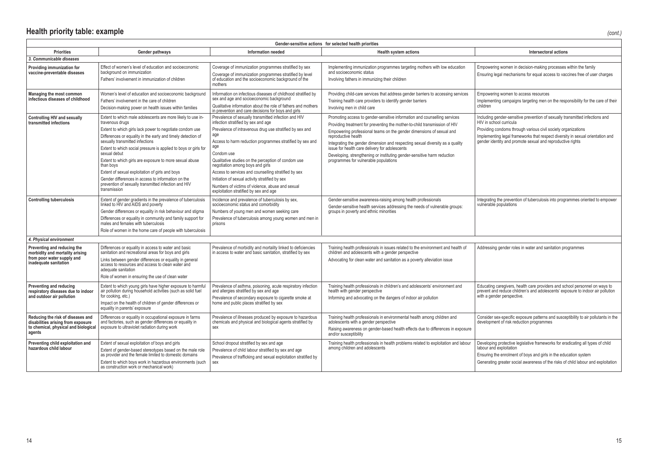| Gender-sensitive actions for selected health priorities                                                                   |                                                                                                                                                                                                                                                                                                                                                                                                                                                                                                                                                                                           |                                                                                                                                                                                                                                                                                                                                                                                                                                                                                                                                                      |                                                                                                                                                                                                                                                                                                                                                                                                                                                                                                                |                                                                                                                                                                                                                                                                                                                          |  |
|---------------------------------------------------------------------------------------------------------------------------|-------------------------------------------------------------------------------------------------------------------------------------------------------------------------------------------------------------------------------------------------------------------------------------------------------------------------------------------------------------------------------------------------------------------------------------------------------------------------------------------------------------------------------------------------------------------------------------------|------------------------------------------------------------------------------------------------------------------------------------------------------------------------------------------------------------------------------------------------------------------------------------------------------------------------------------------------------------------------------------------------------------------------------------------------------------------------------------------------------------------------------------------------------|----------------------------------------------------------------------------------------------------------------------------------------------------------------------------------------------------------------------------------------------------------------------------------------------------------------------------------------------------------------------------------------------------------------------------------------------------------------------------------------------------------------|--------------------------------------------------------------------------------------------------------------------------------------------------------------------------------------------------------------------------------------------------------------------------------------------------------------------------|--|
| <b>Priorities</b>                                                                                                         | Gender pathways                                                                                                                                                                                                                                                                                                                                                                                                                                                                                                                                                                           | <b>Information needed</b>                                                                                                                                                                                                                                                                                                                                                                                                                                                                                                                            | <b>Health system actions</b>                                                                                                                                                                                                                                                                                                                                                                                                                                                                                   | Intersectoral actions                                                                                                                                                                                                                                                                                                    |  |
| 3. Communicable diseases                                                                                                  |                                                                                                                                                                                                                                                                                                                                                                                                                                                                                                                                                                                           |                                                                                                                                                                                                                                                                                                                                                                                                                                                                                                                                                      |                                                                                                                                                                                                                                                                                                                                                                                                                                                                                                                |                                                                                                                                                                                                                                                                                                                          |  |
| Providing immunization for<br>vaccine-preventable diseases                                                                | Effect of women's level of education and socioeconomic<br>background on immunization<br>Fathers' involvement in immunization of children                                                                                                                                                                                                                                                                                                                                                                                                                                                  | Coverage of immunization programmes stratified by sex<br>Coverage of immunization programmes stratified by level<br>of education and the socioeconomic background of the<br>mothers                                                                                                                                                                                                                                                                                                                                                                  | Implementing immunization programmes targeting mothers with low education<br>and socioeconomic status<br>Involving fathers in immunizing their children                                                                                                                                                                                                                                                                                                                                                        | Empowering women in decision-making processes within the family<br>Ensuring legal mechanisms for equal access to vaccines free of user charges                                                                                                                                                                           |  |
| Managing the most common<br>infectious diseases of childhood                                                              | Women's level of education and socioeconomic background<br>Fathers' involvement in the care of children<br>Decision-making power on health issues within families                                                                                                                                                                                                                                                                                                                                                                                                                         | Information on infectious diseases of childhood stratified by<br>sex and age and socioeconomic background<br>Qualitative information about the role of fathers and mothers<br>in prevention and care decisions for boys and girls                                                                                                                                                                                                                                                                                                                    | Providing child-care services that address gender barriers to accessing services<br>Training health care providers to identify gender barriers<br>Involving men in child care                                                                                                                                                                                                                                                                                                                                  | Empowering women to access resources<br>Implementing campaigns targeting men on the responsibility for the care of their<br>children                                                                                                                                                                                     |  |
| Controlling HIV and sexually<br>transmitted infections                                                                    | Extent to which male adolescents are more likely to use in-<br>travenous drugs<br>Extent to which girls lack power to negotiate condom use<br>Differences or equality in the early and timely detection of<br>sexually transmitted infections<br>Extent to which social pressure is applied to boys or girls for<br>sexual debut<br>Extent to which girls are exposure to more sexual abuse<br>than boys<br>Extent of sexual exploitation of girls and boys<br>Gender differences in access to information on the<br>prevention of sexually transmitted infection and HIV<br>transmission | Prevalence of sexually transmitted infection and HIV<br>infection stratified by sex and age<br>Prevalence of intravenous drug use stratified by sex and<br>age<br>Access to harm reduction programmes stratified by sex and<br>age<br>Condom use<br>Qualitative studies on the perception of condom use<br>negotiation among boys and girls<br>Access to services and counselling stratified by sex<br>Initiation of sexual activity stratified by sex<br>Numbers of victims of violence, abuse and sexual<br>exploitation stratified by sex and age | Promoting access to gender-sensitive information and counselling services<br>Providing treatment for preventing the mother-to-child transmission of HIV<br>Empowering professional teams on the gender dimensions of sexual and<br>reproductive health<br>Integrating the gender dimension and respecting sexual diversity as a quality<br>issue for health care delivery for adolescents<br>Developing, strengthening or instituting gender-sensitive harm reduction<br>programmes for vulnerable populations | Including gender-sensitive prevention of sexually transmitted infections and<br>HIV in school curricula<br>Providing condoms through various civil society organizations<br>Implementing legal frameworks that respect diversity in sexual orientation and<br>gender identity and promote sexual and reproductive rights |  |
| <b>Controlling tuberculosis</b>                                                                                           | Extent of gender gradients in the prevalence of tuberculosis<br>linked to HIV and AIDS and poverty<br>Gender differences or equality in risk behaviour and stigma<br>Differences or equality in community and family support for<br>males and females with tuberculosis<br>Role of women in the home care of people with tuberculosis                                                                                                                                                                                                                                                     | Incidence and prevalence of tuberculosis by sex,<br>socioeconomic status and comorbidity<br>Numbers of young men and women seeking care<br>Prevalence of tuberculosis among young women and men in<br>prisons                                                                                                                                                                                                                                                                                                                                        | Gender-sensitive awareness-raising among health professionals<br>Gender-sensitive health services addressing the needs of vulnerable groups:<br>groups in poverty and ethnic minorities                                                                                                                                                                                                                                                                                                                        | Integrating the prevention of tuberculosis into programmes oriented to empower<br>vulnerable populations                                                                                                                                                                                                                 |  |
| 4. Physical environment                                                                                                   |                                                                                                                                                                                                                                                                                                                                                                                                                                                                                                                                                                                           |                                                                                                                                                                                                                                                                                                                                                                                                                                                                                                                                                      |                                                                                                                                                                                                                                                                                                                                                                                                                                                                                                                |                                                                                                                                                                                                                                                                                                                          |  |
| Preventing and reducing the<br>morbidity and mortality arising<br>from poor water supply and<br>inadequate sanitation     | Differences or equality in access to water and basic<br>sanitation and recreational areas for boys and girls<br>Links between gender differences or equality in general<br>access to resources and access to clean water and<br>adequate sanitation<br>Role of women in ensuring the use of clean water                                                                                                                                                                                                                                                                                   | Prevalence of morbidity and mortality linked to deficiencies<br>in access to water and basic sanitation, stratified by sex                                                                                                                                                                                                                                                                                                                                                                                                                           | Training health professionals in issues related to the environment and health of<br>children and adolescents with a gender perspective<br>Advocating for clean water and sanitation as a poverty alleviation issue                                                                                                                                                                                                                                                                                             | Addressing gender roles in water and sanitation programmes                                                                                                                                                                                                                                                               |  |
| Preventing and reducing<br>respiratory diseases due to indoor<br>and outdoor air pollution                                | Extent to which young girls have higher exposure to harmful<br>air pollution during household activities (such as solid fuel<br>for cooking, etc.)<br>Impact on the health of children of gender differences or<br>equality in parents' exposure                                                                                                                                                                                                                                                                                                                                          | Prevalence of asthma, poisoning, acute respiratory infection<br>and allergies stratified by sex and age<br>Prevalence of secondary exposure to cigarette smoke at<br>home and public places stratified by sex                                                                                                                                                                                                                                                                                                                                        | Training health professionals in children's and adolescents' environment and<br>health with gender perspective<br>Informing and advocating on the dangers of indoor air pollution                                                                                                                                                                                                                                                                                                                              | Educating caregivers, health care providers and school personnel on ways to<br>prevent and reduce children's and adolescents' exposure to indoor air pollution<br>with a gender perspective.                                                                                                                             |  |
| Reducing the risk of diseases and<br>disabilities arising from exposure<br>to chemical, physical and biological<br>agents | Differences or equality in occupational exposure in farms<br>and factories, such as gender differences or equality in<br>exposure to ultraviolet radiation during work                                                                                                                                                                                                                                                                                                                                                                                                                    | Prevalence of illnesses produced by exposure to hazardous<br>chemicals and physical and biological agents stratified by<br>sex                                                                                                                                                                                                                                                                                                                                                                                                                       | Training health professionals in environmental health among children and<br>adolescents with a gender perspective<br>Raising awareness on gender-based health effects due to differences in exposure<br>and/or susceptibility                                                                                                                                                                                                                                                                                  | Consider sex-specific exposure patterns and susceptibility to air pollutants in the<br>development of risk reduction programmes                                                                                                                                                                                          |  |
| Preventing child exploitation and<br>hazardous child labour                                                               | Extent of sexual exploitation of boys and girls<br>Extent of gender-based stereotypes based on the male role<br>as provider and the female limited to domestic domains<br>Extent to which boys work in hazardous environments (such<br>as construction work or mechanical work)                                                                                                                                                                                                                                                                                                           | School dropout stratified by sex and age<br>Prevalence of child labour stratified by sex and age<br>Prevalence of trafficking and sexual exploitation stratified by<br>sex                                                                                                                                                                                                                                                                                                                                                                           | Training health professionals in health problems related to exploitation and labour<br>among children and adolescents                                                                                                                                                                                                                                                                                                                                                                                          | Developing protective legislative frameworks for eradicating all types of child<br>labour and exploitation<br>Ensuring the enrolment of boys and girls in the education system<br>Generating greater social awareness of the risks of child labour and exploitation                                                      |  |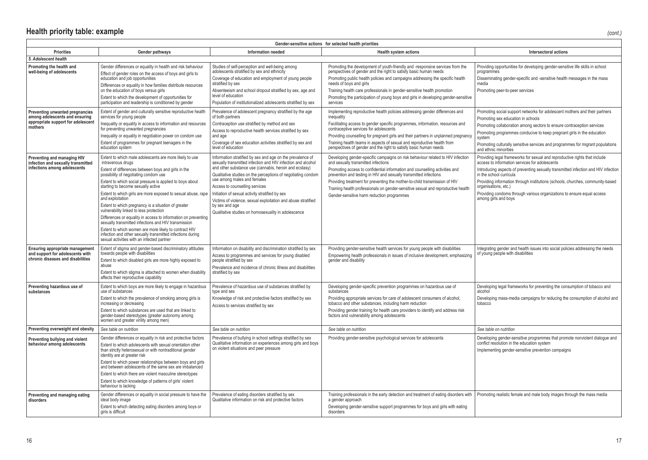## **Health priority table: example** *(cont.)*

| Gender-sensitive actions for selected health priorities                                                            |                                                                                                                                                                                                                                                                      |                                                                                                                                                                                                                                                                |                                                                                                                                                                                                                                                                                                                                           |                                                                                                                                                                                                                     |  |
|--------------------------------------------------------------------------------------------------------------------|----------------------------------------------------------------------------------------------------------------------------------------------------------------------------------------------------------------------------------------------------------------------|----------------------------------------------------------------------------------------------------------------------------------------------------------------------------------------------------------------------------------------------------------------|-------------------------------------------------------------------------------------------------------------------------------------------------------------------------------------------------------------------------------------------------------------------------------------------------------------------------------------------|---------------------------------------------------------------------------------------------------------------------------------------------------------------------------------------------------------------------|--|
| <b>Priorities</b>                                                                                                  | Gender pathways                                                                                                                                                                                                                                                      | <b>Information needed</b>                                                                                                                                                                                                                                      | <b>Health system actions</b>                                                                                                                                                                                                                                                                                                              | Intersectoral actions                                                                                                                                                                                               |  |
| 5. Adolescent health                                                                                               |                                                                                                                                                                                                                                                                      |                                                                                                                                                                                                                                                                |                                                                                                                                                                                                                                                                                                                                           |                                                                                                                                                                                                                     |  |
| Promoting the health and<br>well-being of adolescents                                                              | Gender differences or equality in health and risk behaviour<br>Effect of gender roles on the access of boys and girls to<br>education and job opportunities<br>Differences or equality in how families distribute resources<br>on the education of boys versus girls | Studies of self-perception and well-being among<br>adolescents stratified by sex and ethnicity<br>Coverage of education and employment of young people<br>stratified by sex<br>Absenteeism and school dropout stratified by sex, age and<br>level of education | Promoting the development of youth-friendly and -responsive services from the<br>perspectives of gender and the right to satisfy basic human needs<br>Promoting public health policies and campaigns addressing the specific health<br>needs of boys and girls<br>Training health care professionals in gender-sensitive health promotion | Providing opportunities for developing gender-sensitive life skills in school<br>programmes<br>Disseminating gender-specific and -sensitive health messages in the mass<br>media<br>Promoting peer-to-peer services |  |
|                                                                                                                    | Extent to which the development of opportunities for<br>participation and leadership is conditioned by gender                                                                                                                                                        | Population of institutionalized adolescents stratified by sex                                                                                                                                                                                                  | Promoting the participation of young boys and girls in developing gender-sensitive<br>services                                                                                                                                                                                                                                            |                                                                                                                                                                                                                     |  |
| Preventing unwanted pregnancies<br>among adolescents and ensuring<br>appropriate support for adolescent<br>mothers | Extent of gender and culturally sensitive reproductive health<br>services for young people<br>Inequality or equality in access to information and resources                                                                                                          | Prevalence of adolescent pregnancy stratified by the age<br>of both partners<br>Contraception use stratified by method and sex                                                                                                                                 | Implementing reproductive health policies addressing gender differences and<br>inequality<br>Facilitating access to gender specific programmes, information, resources and                                                                                                                                                                | Promoting social support networks for adolescent mothers and their partners<br>Promoting sex education in schools<br>Promoting collaboration among sectors to ensure contraception services                         |  |
|                                                                                                                    | for preventing unwanted pregnancies<br>Inequality or equality in negotiation power on condom use                                                                                                                                                                     | Access to reproductive health services stratified by sex<br>and age                                                                                                                                                                                            | contraceptive services for adolescents<br>Providing counselling for pregnant girls and their partners in unplanned pregnancy                                                                                                                                                                                                              | Promoting programmes conducive to keep pregnant girls in the education<br>system                                                                                                                                    |  |
|                                                                                                                    | Extent of programmes for pregnant teenagers in the<br>education system                                                                                                                                                                                               | Coverage of sex education activities stratified by sex and<br>level of education                                                                                                                                                                               | Training health teams in aspects of sexual and reproductive health from<br>perspectives of gender and the right to satisfy basic human needs                                                                                                                                                                                              | Promoting culturally sensitive services and programmes for migrant populations<br>and ethnic minorities                                                                                                             |  |
| Preventing and managing HIV<br>infection and sexually transmitted<br>infections among adolescents                  | Extent to which male adolescents are more likely to use<br>intravenous drugs                                                                                                                                                                                         | Information stratified by sex and age on the prevalence of<br>sexually transmitted infection and HIV infection and alcohol<br>and other substance use (cannabis, heroin and ecstasy)                                                                           | Developing gender-specific campaigns on risk behaviour related to HIV infection<br>and sexually transmitted infections                                                                                                                                                                                                                    | Providing legal frameworks for sexual and reproductive rights that include<br>access to information services for adolescents                                                                                        |  |
|                                                                                                                    | Extent of differences between boys and girls in the<br>possibility of negotiating condom use                                                                                                                                                                         | Qualitative studies on the perceptions of negotiating condom<br>use among males and females                                                                                                                                                                    | Promoting access to confidential information and counselling activities and<br>prevention and testing in HIV and sexually transmitted infections                                                                                                                                                                                          | Introducing aspects of preventing sexually transmitted infection and HIV infection<br>in the school curricula                                                                                                       |  |
|                                                                                                                    | Extent to which social pressure is applied to boys about<br>starting to become sexually active                                                                                                                                                                       | Access to counselling services                                                                                                                                                                                                                                 | Providing treatment for preventing the mother-to-child transmission of HIV<br>Training health professionals on gender-sensitive sexual and reproductive health                                                                                                                                                                            | Providing information through institutions (schools, churches, community-based<br>organisations, etc.)                                                                                                              |  |
|                                                                                                                    | Extent to which girls are more exposed to sexual abuse, rape<br>and exploitation                                                                                                                                                                                     | Initiation of sexual activity stratified by sex<br>Victims of violence, sexual exploitation and abuse stratified                                                                                                                                               | Gender-sensitive harm reduction programmes                                                                                                                                                                                                                                                                                                | Providing condoms through various organizations to ensure equal access<br>among girls and boys                                                                                                                      |  |
|                                                                                                                    | Extent to which pregnancy is a situation of greater<br>vulnerability linked to less protection                                                                                                                                                                       | by sex and age<br>Qualitative studies on homosexuality in adolescence                                                                                                                                                                                          |                                                                                                                                                                                                                                                                                                                                           |                                                                                                                                                                                                                     |  |
|                                                                                                                    | Differences or equality in access to information on preventing<br>sexually transmitted infections and HIV transmission                                                                                                                                               |                                                                                                                                                                                                                                                                |                                                                                                                                                                                                                                                                                                                                           |                                                                                                                                                                                                                     |  |
|                                                                                                                    | Extent to which women are more likely to contract HIV<br>infection and other sexually transmitted infections during<br>sexual activities with an infected partner                                                                                                    |                                                                                                                                                                                                                                                                |                                                                                                                                                                                                                                                                                                                                           |                                                                                                                                                                                                                     |  |
| <b>Ensuring appropriate management</b><br>and support for adolescents with<br>chronic diseases and disabilities    | Extent of stigma and gender-based discriminatory attitudes<br>towards people with disabilities                                                                                                                                                                       | Information on disability and discrimination stratified by sex<br>Access to programmes and services for young disabled                                                                                                                                         | Providing gender-sensitive health services for young people with disabilities<br>Empowering health professionals in issues of inclusive development, emphasizing                                                                                                                                                                          | Integrating gender and health issues into social policies addressing the needs<br>of young people with disabilities                                                                                                 |  |
|                                                                                                                    | Extent to which disabled girls are more highly exposed to<br>abuse                                                                                                                                                                                                   | people stratified by sex<br>Prevalence and incidence of chronic illness and disabilities                                                                                                                                                                       | gender and disability                                                                                                                                                                                                                                                                                                                     |                                                                                                                                                                                                                     |  |
|                                                                                                                    | Extent to which stigma is attached to women when disability<br>affects their reproductive capability                                                                                                                                                                 | stratified by sex                                                                                                                                                                                                                                              |                                                                                                                                                                                                                                                                                                                                           |                                                                                                                                                                                                                     |  |
| Preventing hazardous use of<br>substances                                                                          | Extent to which boys are more likely to engage in hazardous<br>use of substances                                                                                                                                                                                     | Prevalence of hazardous use of substances stratified by<br>type and sex                                                                                                                                                                                        | Developing gender-specific prevention programmes on hazardous use of<br>substances                                                                                                                                                                                                                                                        | Developing legal frameworks for preventing the consumption of tobacco and<br>alcohol                                                                                                                                |  |
|                                                                                                                    | Extent to which the prevalence of smoking among girls is<br>increasing or decreasing                                                                                                                                                                                 | Knowledge of risk and protective factors stratified by sex<br>Access to services stratified by sex                                                                                                                                                             | Providing appropriate services for care of adolescent consumers of alcohol,<br>tobacco and other substances, including harm reduction<br>Providing gender training for health care providers to identify and address risk                                                                                                                 | Developing mass-media campaigns for reducing the consumption of alcohol and<br>tobacco                                                                                                                              |  |
|                                                                                                                    | Extent to which substances are used that are linked to<br>gender-based stereotypes (greater autonomy among<br>women and greater virility among men)                                                                                                                  |                                                                                                                                                                                                                                                                | factors and vulnerability among adolescents                                                                                                                                                                                                                                                                                               |                                                                                                                                                                                                                     |  |
| Preventing overweight and obesity                                                                                  | See table on nutrition                                                                                                                                                                                                                                               | See table on nutrition                                                                                                                                                                                                                                         | See table on nutrition                                                                                                                                                                                                                                                                                                                    | See table on nutrition                                                                                                                                                                                              |  |
| Preventing bullying and violent<br>behaviour among adolescents                                                     | Gender differences or equality in risk and protective factors<br>Extent to which adolescents with sexual orientation other<br>than strictly heterosexual or with nontraditional gender<br>identity are at greater risk                                               | Prevalence of bullying in school settings stratified by sex<br>Qualitative information on experiences among girls and boys<br>on violent situations and peer pressure                                                                                          | Providing gender-sensitive psychological services for adolescents                                                                                                                                                                                                                                                                         | Developing gender-sensitive programmes that promote nonviolent dialogue and<br>conflict resolution in the education system<br>Implementing gender-sensitive prevention campaigns                                    |  |
|                                                                                                                    | Extent to which power relationships between boys and girls<br>and between adolescents of the same sex are imbalanced                                                                                                                                                 |                                                                                                                                                                                                                                                                |                                                                                                                                                                                                                                                                                                                                           |                                                                                                                                                                                                                     |  |
|                                                                                                                    | Extent to which there are violent masculine stereotypes<br>Extent to which knowledge of patterns of girls' violent<br>behaviour is lacking                                                                                                                           |                                                                                                                                                                                                                                                                |                                                                                                                                                                                                                                                                                                                                           |                                                                                                                                                                                                                     |  |
| Preventing and managing eating<br>disorders                                                                        | Gender differences or equality in social pressure to have the<br>ideal body image                                                                                                                                                                                    | Prevalence of eating disorders stratified by sex<br>Qualitative information on risk and protective factors                                                                                                                                                     | Training professionals in the early detection and treatment of eating disorders with<br>a gender approach                                                                                                                                                                                                                                 | Promoting realistic female and male body images through the mass media                                                                                                                                              |  |
|                                                                                                                    | Extent to which detecting eating disorders among boys or<br>girls is difficult                                                                                                                                                                                       |                                                                                                                                                                                                                                                                | Developing gender-sensitive support programmes for boys and girls with eating<br>disorders                                                                                                                                                                                                                                                |                                                                                                                                                                                                                     |  |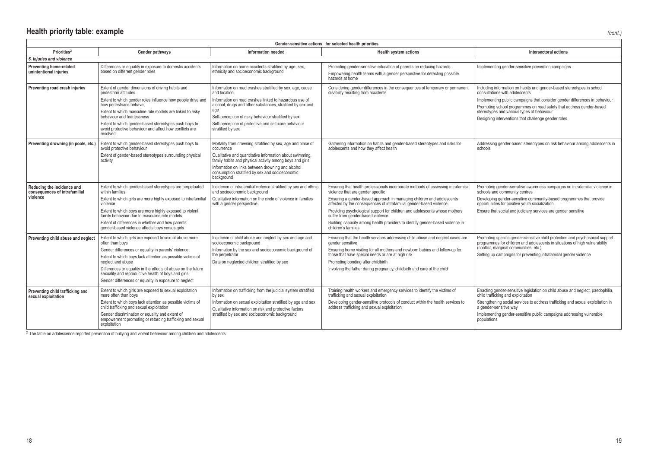| Gender-sensitive actions for selected health priorities                 |                                                                                                                                                                                                                                                                                                                                                                                                      |                                                                                                                                                                                                                                                                                                                                                |                                                                                                                                                                                                                                                                                                                                                                                                                                                                                                   |                                                                                                                                                                                                                                                                                                                                                                      |  |
|-------------------------------------------------------------------------|------------------------------------------------------------------------------------------------------------------------------------------------------------------------------------------------------------------------------------------------------------------------------------------------------------------------------------------------------------------------------------------------------|------------------------------------------------------------------------------------------------------------------------------------------------------------------------------------------------------------------------------------------------------------------------------------------------------------------------------------------------|---------------------------------------------------------------------------------------------------------------------------------------------------------------------------------------------------------------------------------------------------------------------------------------------------------------------------------------------------------------------------------------------------------------------------------------------------------------------------------------------------|----------------------------------------------------------------------------------------------------------------------------------------------------------------------------------------------------------------------------------------------------------------------------------------------------------------------------------------------------------------------|--|
| Priorities <sup>2</sup>                                                 | Gender pathways                                                                                                                                                                                                                                                                                                                                                                                      | Information needed                                                                                                                                                                                                                                                                                                                             | Health system actions                                                                                                                                                                                                                                                                                                                                                                                                                                                                             | Intersectoral actions                                                                                                                                                                                                                                                                                                                                                |  |
| 6. Injuries and violence                                                |                                                                                                                                                                                                                                                                                                                                                                                                      |                                                                                                                                                                                                                                                                                                                                                |                                                                                                                                                                                                                                                                                                                                                                                                                                                                                                   |                                                                                                                                                                                                                                                                                                                                                                      |  |
| <b>Preventing home-related</b><br>unintentional injuries                | Differences or equality in exposure to domestic accidents<br>based on different gender roles                                                                                                                                                                                                                                                                                                         | Information on home accidents stratified by age, sex,<br>ethnicity and socioeconomic background                                                                                                                                                                                                                                                | Promoting gender-sensitive education of parents on reducing hazards<br>Empowering health teams with a gender perspective for detecting possible<br>hazards at home                                                                                                                                                                                                                                                                                                                                | Implementing gender-sensitive prevention campaigns                                                                                                                                                                                                                                                                                                                   |  |
| Preventing road crash injuries                                          | Extent of gender dimensions of driving habits and<br>pedestrian attitudes<br>Extent to which gender roles influence how people drive and<br>how pedestrians behave<br>Extent to which masculine role models are linked to risky<br>behaviour and fearlessness<br>Extent to which gender-based stereotypes push boys to<br>avoid protective behaviour and affect how conflicts are<br>resolved        | Information on road crashes stratified by sex, age, cause<br>and location<br>Information on road crashes linked to hazardous use of<br>alcohol, drugs and other substances, stratified by sex and<br>age<br>Self-perception of risky behaviour stratified by sex<br>Self-perception of protective and self-care behaviour<br>stratified by sex | Considering gender differences in the consequences of temporary or permanent<br>disability resulting from accidents                                                                                                                                                                                                                                                                                                                                                                               | Including information on habits and gender-based stereotypes in school<br>consultations with adolescents<br>Implementing public campaigns that consider gender differences in behaviour<br>Promoting school programmes on road safety that address gender-based<br>stereotypes and various types of behaviour<br>Designing interventions that challenge gender roles |  |
| Preventing drowning (in pools, etc.)                                    | Extent to which gender-based stereotypes push boys to<br>avoid protective behaviour<br>Extent of gender-based stereotypes surrounding physical<br>activity                                                                                                                                                                                                                                           | Mortality from drowning stratified by sex, age and place of<br>occurrence<br>Qualitative and quantitative information about swimming,<br>family habits and physical activity among boys and girls<br>Information on links between drowning and alcohol<br>consumption stratified by sex and socioeconomic<br>background                        | Gathering information on habits and gender-based stereotypes and risks for<br>adolescents and how they affect health                                                                                                                                                                                                                                                                                                                                                                              | Addressing gender-based stereotypes on risk behaviour among adolescents in<br>schools                                                                                                                                                                                                                                                                                |  |
| Reducing the incidence and<br>consequences of intrafamilial<br>violence | Extent to which gender-based stereotypes are perpetuated<br>within families<br>Extent to which girls are more highly exposed to intrafamilial<br>violence<br>Extent to which boys are more highly exposed to violent<br>family behaviour due to masculine role models<br>Extent of differences in whether and how parents'<br>gender-based violence affects boys versus girls                        | Incidence of intrafamilial violence stratified by sex and ethnic<br>and socioeconomic background<br>Qualitative information on the circle of violence in families<br>with a gender perspective                                                                                                                                                 | Ensuring that health professionals incorporate methods of assessing intrafamilial<br>violence that are gender specific<br>Ensuring a gender-based approach in managing children and adolescents<br>affected by the consequences of intrafamilial gender-based violence<br>Providing psychological support for children and adolescents whose mothers<br>suffer from gender-based violence<br>Building capacity among health providers to identify gender-based violence in<br>children's families | Promoting gender-sensitive awareness campaigns on intrafamilial violence in<br>schools and community centres<br>Developing gender-sensitive community-based programmes that provide<br>opportunities for positive youth socialization<br>Ensure that social and judiciary services are gender sensitive                                                              |  |
| Preventing child abuse and neglect                                      | Extent to which girls are exposed to sexual abuse more<br>often than boys<br>Gender differences or equality in parents' violence<br>Extent to which boys lack attention as possible victims of<br>neglect and abuse<br>Differences or equality in the effects of abuse on the future<br>sexuality and reproductive health of boys and girls<br>Gender differences or equality in exposure to neglect | Incidence of child abuse and neglect by sex and age and<br>socioeconomic background<br>Information by the sex and socioeconomic background of<br>the perpetrator<br>Data on neglected children stratified by sex                                                                                                                               | Ensuring that the health services addressing child abuse and neglect cases are<br>gender sensitive<br>Ensuring home visiting for all mothers and newborn babies and follow-up for<br>those that have special needs or are at high risk<br>Promoting bonding after childbirth<br>Involving the father during pregnancy, childbirth and care of the child                                                                                                                                           | Promoting specific gender-sensitive child protection and psychosocial support<br>programmes for children and adolescents in situations of high vulnerability<br>(conflict, marginal communities, etc.).<br>Setting up campaigns for preventing intrafamilial gender violence                                                                                         |  |
| Preventing child trafficking and<br>sexual exploitation                 | Extent to which girls are exposed to sexual exploitation<br>more often than boys<br>Extent to which boys lack attention as possible victims of<br>child trafficking and sexual exploitation<br>Gender discrimination or equality and extent of<br>empowerment promoting or retarding trafficking and sexual<br>exploitation                                                                          | Information on trafficking from the judicial system stratified<br>by sex<br>Information on sexual exploitation stratified by age and sex<br>Qualitative information on risk and protective factors<br>stratified by sex and socioeconomic background                                                                                           | Training health workers and emergency services to identify the victims of<br>trafficking and sexual exploitation<br>Developing gender-sensitive protocols of conduct within the health services to<br>address trafficking and sexual exploitation                                                                                                                                                                                                                                                 | Enacting gender-sensitive legislation on child abuse and neglect, paedophilia,<br>child trafficking and exploitation<br>Strengthening social services to address trafficking and sexual exploitation in<br>a gender-sensitive way<br>Implementing gender-sensitive public campaigns addressing vulnerable<br>populations                                             |  |

 $2$  The table on adolescence reported prevention of bullying and violent behaviour among children and adolescents.

*(cont.)*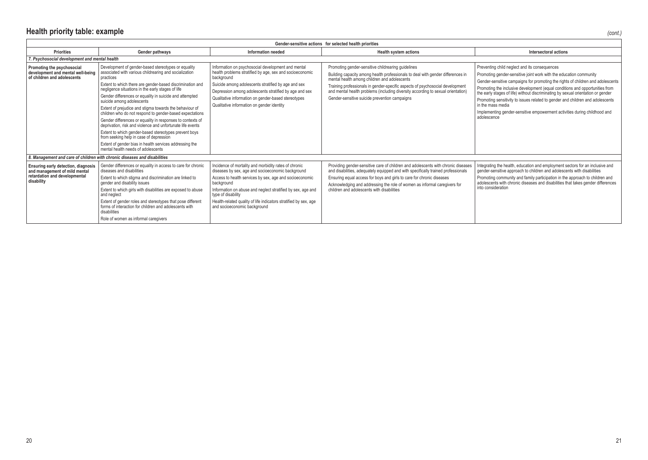| Gender-sensitive actions for selected health priorities                                                             |                                                                                                                                                                                                                                                                                                                                                                                                                                                                                                                                                                                                                                                                                                                                                                                              |                                                                                                                                                                                                                                                                                                                                                                              |                                                                                                                                                                                                                                                                                                                                                                                                             |                                                                                                                                                                                                                                                                                                                                                                                                                                                                                                                                                                               |  |  |
|---------------------------------------------------------------------------------------------------------------------|----------------------------------------------------------------------------------------------------------------------------------------------------------------------------------------------------------------------------------------------------------------------------------------------------------------------------------------------------------------------------------------------------------------------------------------------------------------------------------------------------------------------------------------------------------------------------------------------------------------------------------------------------------------------------------------------------------------------------------------------------------------------------------------------|------------------------------------------------------------------------------------------------------------------------------------------------------------------------------------------------------------------------------------------------------------------------------------------------------------------------------------------------------------------------------|-------------------------------------------------------------------------------------------------------------------------------------------------------------------------------------------------------------------------------------------------------------------------------------------------------------------------------------------------------------------------------------------------------------|-------------------------------------------------------------------------------------------------------------------------------------------------------------------------------------------------------------------------------------------------------------------------------------------------------------------------------------------------------------------------------------------------------------------------------------------------------------------------------------------------------------------------------------------------------------------------------|--|--|
| <b>Priorities</b>                                                                                                   | Gender pathways                                                                                                                                                                                                                                                                                                                                                                                                                                                                                                                                                                                                                                                                                                                                                                              | Information needed                                                                                                                                                                                                                                                                                                                                                           | <b>Health system actions</b>                                                                                                                                                                                                                                                                                                                                                                                | Intersectoral actions                                                                                                                                                                                                                                                                                                                                                                                                                                                                                                                                                         |  |  |
| 7. Psychosocial development and mental health                                                                       |                                                                                                                                                                                                                                                                                                                                                                                                                                                                                                                                                                                                                                                                                                                                                                                              |                                                                                                                                                                                                                                                                                                                                                                              |                                                                                                                                                                                                                                                                                                                                                                                                             |                                                                                                                                                                                                                                                                                                                                                                                                                                                                                                                                                                               |  |  |
| Promoting the psychosocial<br>development and mental well-being<br>of children and adolescents                      | Development of gender-based stereotypes or equality<br>associated with various childrearing and socialization<br>practices<br>Extent to which there are gender-based discrimination and<br>negligence situations in the early stages of life<br>Gender differences or equality in suicide and attempted<br>suicide among adolescents<br>Extent of prejudice and stigma towards the behaviour of<br>children who do not respond to gender-based expectations<br>Gender differences or equality in responses to contexts of<br>deprivation, risk and violence and unfortunate life events<br>Extent to which gender-based stereotypes prevent boys<br>from seeking help in case of depression<br>Extent of gender bias in health services addressing the<br>mental health needs of adolescents | Information on psychosocial development and mental<br>health problems stratified by age, sex and socioeconomic<br>background<br>Suicide among adolescents stratified by age and sex<br>Depression among adolescents stratified by age and sex<br>Qualitative information on gender-based stereotypes<br>Qualitative information on gender identity                           | Promoting gender-sensitive childrearing guidelines<br>Building capacity among health professionals to deal with gender differences in<br>mental health among children and adolescents<br>Training professionals in gender-specific aspects of psychosocial development<br>and mental health problems (including diversity according to sexual orientation)<br>Gender-sensitive suicide prevention campaigns | Preventing child neglect and its consequences<br>Promoting gender-sensitive joint work with the education community<br>Gender-sensitive campaigns for promoting the rights of children and adolescents<br>Promoting the inclusive development (equal conditions and opportunities from<br>the early stages of life) without discriminating by sexual orientation or gender<br>Promoting sensitivity to issues related to gender and children and adolescents<br>in the mass media<br>Implementing gender-sensitive empowerment activities during childhood and<br>adolescence |  |  |
|                                                                                                                     | 8. Management and care of children with chronic diseases and disabilities                                                                                                                                                                                                                                                                                                                                                                                                                                                                                                                                                                                                                                                                                                                    |                                                                                                                                                                                                                                                                                                                                                                              |                                                                                                                                                                                                                                                                                                                                                                                                             |                                                                                                                                                                                                                                                                                                                                                                                                                                                                                                                                                                               |  |  |
| Ensuring early detection, diagnosis<br>and management of mild mental<br>retardation and developmental<br>disability | Gender differences or equality in access to care for chronic<br>diseases and disabilities<br>Extent to which stigma and discrimination are linked to<br>gender and disability issues<br>Extent to which girls with disabilities are exposed to abuse<br>and neglect<br>Extent of gender roles and stereotypes that pose different<br>forms of interaction for children and adolescents with<br>disabilities<br>Role of women as informal caregivers                                                                                                                                                                                                                                                                                                                                          | Incidence of mortality and morbidity rates of chronic<br>diseases by sex, age and socioeconomic background<br>Access to health services by sex, age and socioeconomic<br>background<br>Information on abuse and neglect stratified by sex, age and<br>type of disability<br>Health-related quality of life indicators stratified by sex, age<br>and socioeconomic background | Providing gender-sensitive care of children and adolescents with chronic diseases<br>and disabilities, adequately equipped and with specifically trained professionals<br>Ensuring equal access for boys and girls to care for chronic diseases<br>Acknowledging and addressing the role of women as informal caregivers for<br>children and adolescents with disabilities                                  | Integrating the health, education and employment sectors for an inclusive and<br>gender-sensitive approach to children and adolescents with disabilities<br>Promoting community and family participation in the approach to children and<br>adolescents with chronic diseases and disabilities that takes gender differences<br>into consideration                                                                                                                                                                                                                            |  |  |

*(cont.)*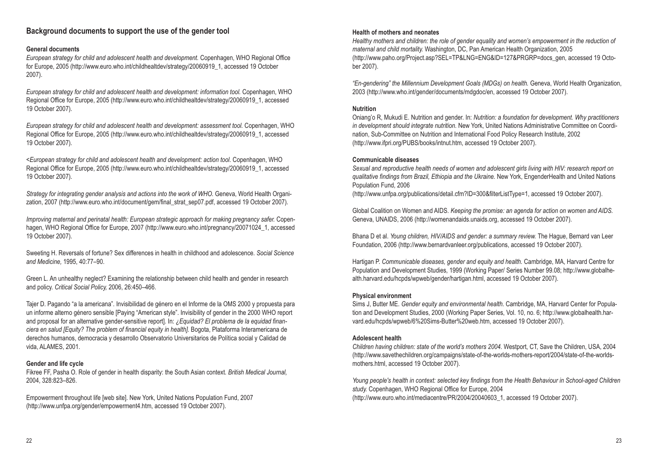## **Background documents to support the use of the gender tool**

## **General documents**

*European strategy for child and adolescent health and development.* Copenhagen, WHO Regional Office for Europe, 2005 (http://www.euro.who.int/childhealtdev/strategy/20060919\_1, accessed 19 October 2007).

*European strategy for child and adolescent health and development: information tool.* Copenhagen, WHO Regional Office for Europe, 2005 (http://www.euro.who.int/childhealtdev/strategy/20060919\_1, accessed 19 October 2007).

*European strategy for child and adolescent health and development: assessment tool.* Copenhagen, WHO Regional Office for Europe, 2005 (http://www.euro.who.int/childhealtdev/strategy/20060919\_1, accessed 19 October 2007).

*<European strategy for child and adolescent health and development: action tool.* Copenhagen, WHO Regional Office for Europe, 2005 (http://www.euro.who.int/childhealtdev/strategy/20060919\_1, accessed 19 October 2007).

*Strategy for integrating gender analysis and actions into the work of WHO. Geneva, World Health Organi*zation, 2007 (http://www.euro.who.int/document/gem/final\_strat\_sep07.pdf, accessed 19 October 2007).

*Improving maternal and perinatal health: European strategic approach for making pregnancy safer.* Copenhagen, WHO Regional Office for Europe, 2007 (http://www.euro.who.int/pregnancy/20071024\_1, accessed 19 October 2007).

Sweeting H. Reversals of fortune? Sex differences in health in childhood and adolescence. *Social Science and Medicine,* 1995, 40:77–90.

Green L. An unhealthy neglect? Examining the relationship between child health and gender in research and policy. *Critical Social Policy,* 2006, 26:450–466.

Tajer D. Pagando "a la americana". Invisibilidad de género en el Informe de la OMS 2000 y propuesta para un informe alterno género sensible [Paying "American style". Invisibility of gender in the 2000 WHO report and proposal for an alternative gender-sensitive report]. In: *¿Equidad? El problema de la equidad financiera en salud [Equity? The problem of financial equity in health].* Bogota, Plataforma Interamericana de derechos humanos, democracia y desarrollo Observatorio Universitarios de Política social y Calidad de vida, ALAMES, 2001.

## **Gender and life cycle**

Fikree FF, Pasha O. Role of gender in health disparity: the South Asian context. *British Medical Journal,* 2004, 328:823–826.

Empowerment throughout life [web site]. New York, United Nations Population Fund, 2007 (http://www.unfpa.org/gender/empowerment4.htm, accessed 19 October 2007).

## **Health of mothers and neonates**

*Healthy mothers and children: the role of gender equality and women's empowerment in the reduction of maternal and child mortality.* Washington, DC, Pan American Health Organization, 2005 (http://www.paho.org/Project.asp?SEL=TP&LNG=ENG&ID=127&PRGRP=docs\_gen, accessed 19 October 2007).

*"En-gendering" the Millennium Development Goals (MDGs) on health.* Geneva, World Health Organization, 2003 (http://www.who.int/gender/documents/mdgdoc/en, accessed 19 October 2007).

## **Nutrition**

Oniang'o R, Mukudi E. Nutrition and gender. In: *Nutrition: a foundation for development. Why practitioners in development should integrate nutrition.* New York, United Nations Administrative Committee on Coordination, Sub-Committee on Nutrition and International Food Policy Research Institute, 2002 (http://www.ifpri.org/PUBS/books/intnut.htm, accessed 19 October 2007).

## **Communicable diseases**

*Sexual and reproductive health needs of women and adolescent girls living with HIV: research report on qualitative findings from Brazil, Ethiopia and the Ukraine.* New York, EngenderHealth and United Nations Population Fund, 2006

(http://www.unfpa.org/publications/detail.cfm?ID=300&filterListType=1, accessed 19 October 2007).

Global Coalition on Women and AIDS. *Keeping the promise: an agenda for action on women and AIDS.* Geneva, UNAIDS, 2006 (http://womenandaids.unaids.org, accessed 19 October 2007).

Bhana D et al. *Young children, HIV/AIDS and gender: a summary review.* The Hague, Bernard van Leer Foundation, 2006 (http://www.bernardvanleer.org/publications, accessed 19 October 2007).

Hartigan P. *Communicable diseases, gender and equity and health.* Cambridge, MA, Harvard Centre for Population and Development Studies, 1999 (Working Paper/ Series Number 99.08; http://www.globalhealth.harvard.edu/hcpds/wpweb/gender/hartigan.html, accessed 19 October 2007).

## **Physical environment**

Sims J, Butter ME. *Gender equity and environmental health.* Cambridge, MA, Harvard Center for Population and Development Studies, 2000 (Working Paper Series, Vol. 10, no. 6; http://www.globalhealth.harvard.edu/hcpds/wpweb/6%20Sims-Butter%20web.htm, accessed 19 October 2007).

## **Adolescent health**

*Children having children: state of the world's mothers 2004.* Westport, CT, Save the Children, USA, 2004 (http://www.savethechildren.org/campaigns/state-of-the-worlds-mothers-report/2004/state-of-the-worldsmothers.html, accessed 19 October 2007).

*Young people's health in context: selected key findings from the Health Behaviour in School-aged Children study.* Copenhagen, WHO Regional Office for Europe, 2004 (http://www.euro.who.int/mediacentre/PR/2004/20040603\_1, accessed 19 October 2007).